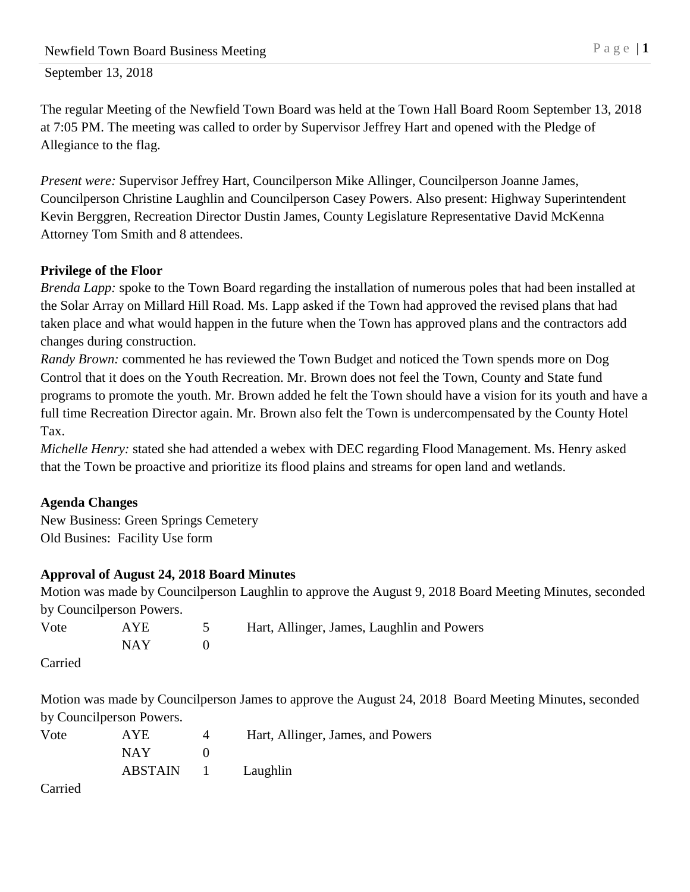The regular Meeting of the Newfield Town Board was held at the Town Hall Board Room September 13, 2018 at 7:05 PM. The meeting was called to order by Supervisor Jeffrey Hart and opened with the Pledge of Allegiance to the flag.

*Present were:* Supervisor Jeffrey Hart, Councilperson Mike Allinger, Councilperson Joanne James, Councilperson Christine Laughlin and Councilperson Casey Powers. Also present: Highway Superintendent Kevin Berggren, Recreation Director Dustin James, County Legislature Representative David McKenna Attorney Tom Smith and 8 attendees.

# **Privilege of the Floor**

*Brenda Lapp:* spoke to the Town Board regarding the installation of numerous poles that had been installed at the Solar Array on Millard Hill Road. Ms. Lapp asked if the Town had approved the revised plans that had taken place and what would happen in the future when the Town has approved plans and the contractors add changes during construction.

*Randy Brown:* commented he has reviewed the Town Budget and noticed the Town spends more on Dog Control that it does on the Youth Recreation. Mr. Brown does not feel the Town, County and State fund programs to promote the youth. Mr. Brown added he felt the Town should have a vision for its youth and have a full time Recreation Director again. Mr. Brown also felt the Town is undercompensated by the County Hotel Tax.

*Michelle Henry:* stated she had attended a webex with DEC regarding Flood Management. Ms. Henry asked that the Town be proactive and prioritize its flood plains and streams for open land and wetlands.

# **Agenda Changes**

New Business: Green Springs Cemetery Old Busines: Facility Use form

# **Approval of August 24, 2018 Board Minutes**

Motion was made by Councilperson Laughlin to approve the August 9, 2018 Board Meeting Minutes, seconded by Councilperson Powers.

| Vote | <b>AYE</b> | Hart, Allinger, James, Laughlin and Powers |
|------|------------|--------------------------------------------|
|      | NAY 1      |                                            |
|      |            |                                            |

Carried

Motion was made by Councilperson James to approve the August 24, 2018 Board Meeting Minutes, seconded by Councilperson Powers.

| Vote | AYE.               | Hart, Allinger, James, and Powers |
|------|--------------------|-----------------------------------|
|      | NAY.               |                                   |
|      | ABSTAIN 1 Laughlin |                                   |
|      |                    |                                   |

Carried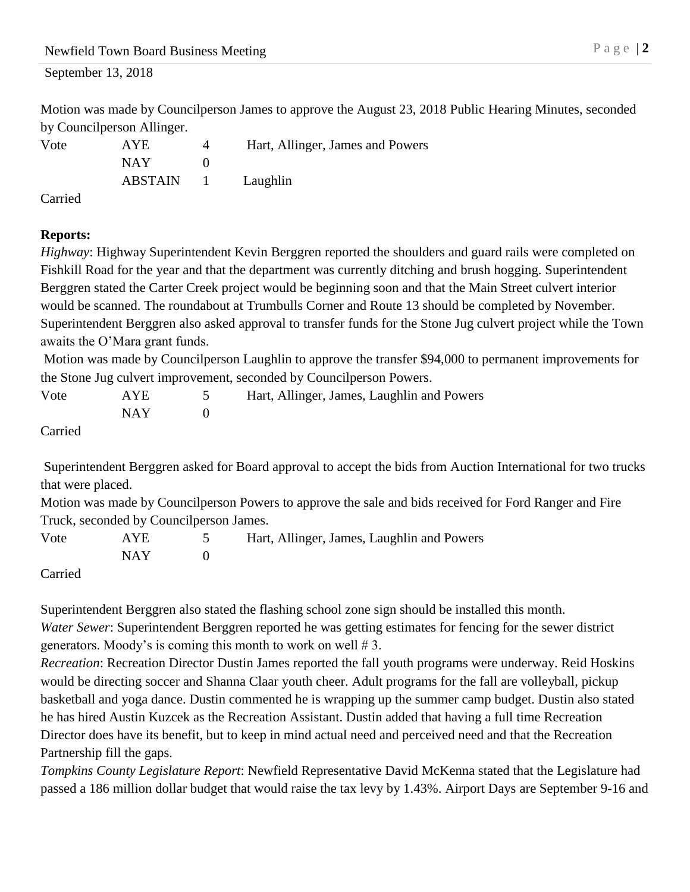Motion was made by Councilperson James to approve the August 23, 2018 Public Hearing Minutes, seconded by Councilperson Allinger.

| Vote   | <b>AYE</b>         | Hart, Allinger, James and Powers |
|--------|--------------------|----------------------------------|
|        | NAY.               |                                  |
|        | ABSTAIN 1 Laughlin |                                  |
| $\sim$ |                    |                                  |

Carried

### **Reports:**

*Highway*: Highway Superintendent Kevin Berggren reported the shoulders and guard rails were completed on Fishkill Road for the year and that the department was currently ditching and brush hogging. Superintendent Berggren stated the Carter Creek project would be beginning soon and that the Main Street culvert interior would be scanned. The roundabout at Trumbulls Corner and Route 13 should be completed by November. Superintendent Berggren also asked approval to transfer funds for the Stone Jug culvert project while the Town awaits the O'Mara grant funds.

Motion was made by Councilperson Laughlin to approve the transfer \$94,000 to permanent improvements for the Stone Jug culvert improvement, seconded by Councilperson Powers.

| Vote        | <b>AYE</b> | Hart, Allinger, James, Laughlin and Powers |
|-------------|------------|--------------------------------------------|
|             | NAY -      |                                            |
| $C$ orrigal |            |                                            |

Carried

Superintendent Berggren asked for Board approval to accept the bids from Auction International for two trucks that were placed.

Motion was made by Councilperson Powers to approve the sale and bids received for Ford Ranger and Fire Truck, seconded by Councilperson James.

Vote AYE 5 Hart, Allinger, James, Laughlin and Powers  $NAY$  0

Carried

Superintendent Berggren also stated the flashing school zone sign should be installed this month. *Water Sewer*: Superintendent Berggren reported he was getting estimates for fencing for the sewer district generators. Moody's is coming this month to work on well # 3.

*Recreation*: Recreation Director Dustin James reported the fall youth programs were underway. Reid Hoskins would be directing soccer and Shanna Claar youth cheer. Adult programs for the fall are volleyball, pickup basketball and yoga dance. Dustin commented he is wrapping up the summer camp budget. Dustin also stated he has hired Austin Kuzcek as the Recreation Assistant. Dustin added that having a full time Recreation Director does have its benefit, but to keep in mind actual need and perceived need and that the Recreation Partnership fill the gaps.

*Tompkins County Legislature Report*: Newfield Representative David McKenna stated that the Legislature had passed a 186 million dollar budget that would raise the tax levy by 1.43%. Airport Days are September 9-16 and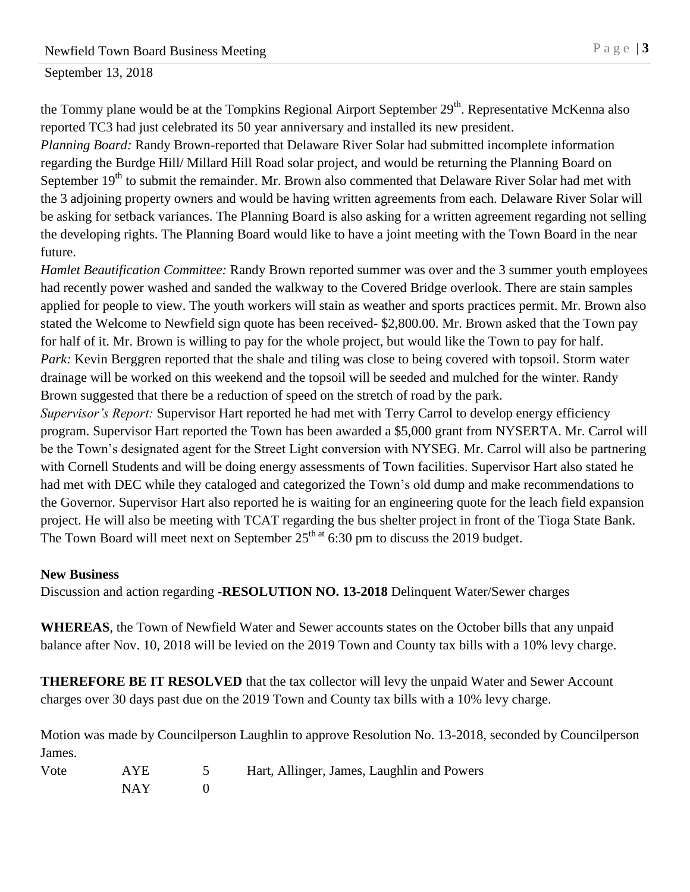the Tommy plane would be at the Tompkins Regional Airport September 29<sup>th</sup>. Representative McKenna also reported TC3 had just celebrated its 50 year anniversary and installed its new president.

*Planning Board:* Randy Brown-reported that Delaware River Solar had submitted incomplete information regarding the Burdge Hill/ Millard Hill Road solar project, and would be returning the Planning Board on September 19<sup>th</sup> to submit the remainder. Mr. Brown also commented that Delaware River Solar had met with the 3 adjoining property owners and would be having written agreements from each. Delaware River Solar will be asking for setback variances. The Planning Board is also asking for a written agreement regarding not selling the developing rights. The Planning Board would like to have a joint meeting with the Town Board in the near future.

*Hamlet Beautification Committee:* Randy Brown reported summer was over and the 3 summer youth employees had recently power washed and sanded the walkway to the Covered Bridge overlook. There are stain samples applied for people to view. The youth workers will stain as weather and sports practices permit. Mr. Brown also stated the Welcome to Newfield sign quote has been received- \$2,800.00. Mr. Brown asked that the Town pay for half of it. Mr. Brown is willing to pay for the whole project, but would like the Town to pay for half. *Park:* Kevin Berggren reported that the shale and tiling was close to being covered with topsoil. Storm water drainage will be worked on this weekend and the topsoil will be seeded and mulched for the winter. Randy Brown suggested that there be a reduction of speed on the stretch of road by the park.

*Supervisor's Report:* Supervisor Hart reported he had met with Terry Carrol to develop energy efficiency program. Supervisor Hart reported the Town has been awarded a \$5,000 grant from NYSERTA. Mr. Carrol will be the Town's designated agent for the Street Light conversion with NYSEG. Mr. Carrol will also be partnering with Cornell Students and will be doing energy assessments of Town facilities. Supervisor Hart also stated he had met with DEC while they cataloged and categorized the Town's old dump and make recommendations to the Governor. Supervisor Hart also reported he is waiting for an engineering quote for the leach field expansion project. He will also be meeting with TCAT regarding the bus shelter project in front of the Tioga State Bank. The Town Board will meet next on September  $25<sup>th</sup>$  at 6:30 pm to discuss the 2019 budget.

#### **New Business**

Discussion and action regarding -**RESOLUTION NO. 13-2018** Delinquent Water/Sewer charges

**WHEREAS**, the Town of Newfield Water and Sewer accounts states on the October bills that any unpaid balance after Nov. 10, 2018 will be levied on the 2019 Town and County tax bills with a 10% levy charge.

**THEREFORE BE IT RESOLVED** that the tax collector will levy the unpaid Water and Sewer Account charges over 30 days past due on the 2019 Town and County tax bills with a 10% levy charge.

Motion was made by Councilperson Laughlin to approve Resolution No. 13-2018, seconded by Councilperson James.

| Vote | AYE        | Hart, Allinger, James, Laughlin and Powers |
|------|------------|--------------------------------------------|
|      | <b>NAY</b> |                                            |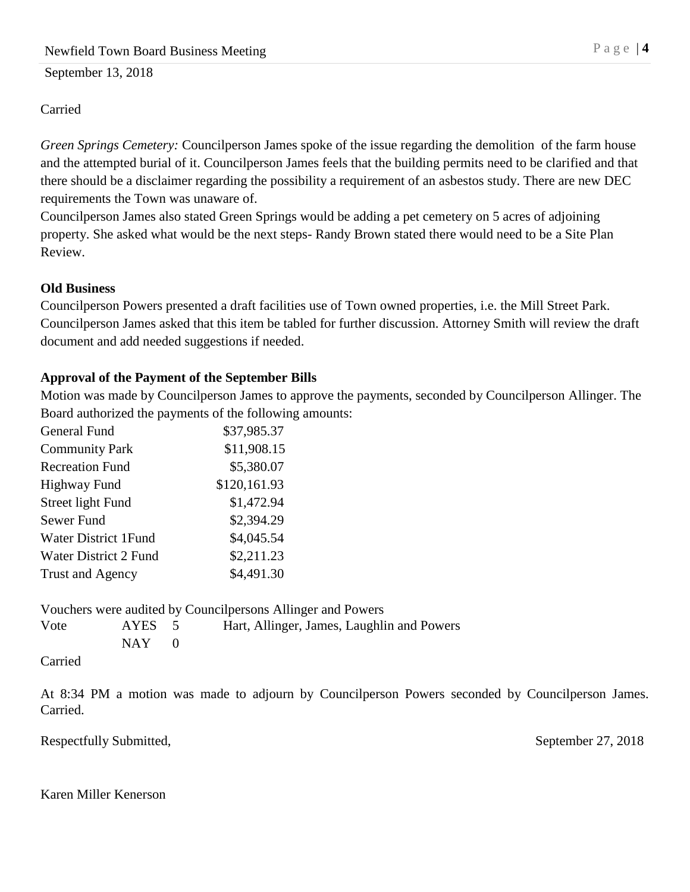### Carried

*Green Springs Cemetery:* Councilperson James spoke of the issue regarding the demolition of the farm house and the attempted burial of it. Councilperson James feels that the building permits need to be clarified and that there should be a disclaimer regarding the possibility a requirement of an asbestos study. There are new DEC requirements the Town was unaware of.

Councilperson James also stated Green Springs would be adding a pet cemetery on 5 acres of adjoining property. She asked what would be the next steps- Randy Brown stated there would need to be a Site Plan Review.

#### **Old Business**

Councilperson Powers presented a draft facilities use of Town owned properties, i.e. the Mill Street Park. Councilperson James asked that this item be tabled for further discussion. Attorney Smith will review the draft document and add needed suggestions if needed.

### **Approval of the Payment of the September Bills**

Motion was made by Councilperson James to approve the payments, seconded by Councilperson Allinger. The Board authorized the payments of the following amounts:

| General Fund                | \$37,985.37  |
|-----------------------------|--------------|
| <b>Community Park</b>       | \$11,908.15  |
| <b>Recreation Fund</b>      | \$5,380.07   |
| <b>Highway Fund</b>         | \$120,161.93 |
| Street light Fund           | \$1,472.94   |
| Sewer Fund                  | \$2,394.29   |
| <b>Water District 1Fund</b> | \$4,045.54   |
| Water District 2 Fund       | \$2,211.23   |
| <b>Trust and Agency</b>     | \$4,491.30   |

 $NAY$  0

Vouchers were audited by Councilpersons Allinger and Powers Vote AYES 5 Hart, Allinger, James, Laughlin and Powers

Carried

At 8:34 PM a motion was made to adjourn by Councilperson Powers seconded by Councilperson James. Carried.

Respectfully Submitted, September 27, 2018

Karen Miller Kenerson